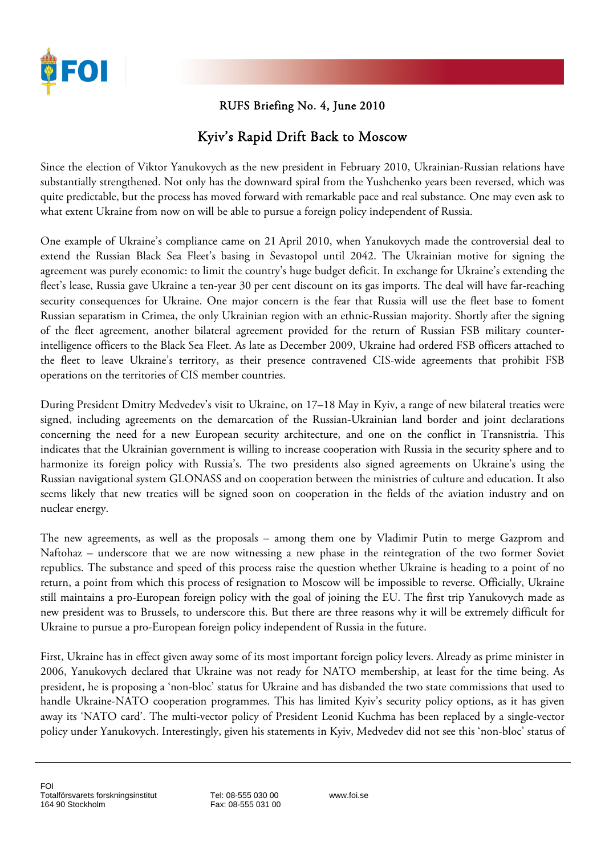

## RUFS Briefing No. 4, June 2010

## Kyiv's Rapid Drift Back to Moscow

Since the election of Viktor Yanukovych as the new president in February 2010, Ukrainian-Russian relations have substantially strengthened. Not only has the downward spiral from the Yushchenko years been reversed, which was quite predictable, but the process has moved forward with remarkable pace and real substance. One may even ask to what extent Ukraine from now on will be able to pursue a foreign policy independent of Russia.

One example of Ukraine's compliance came on 21 April 2010, when Yanukovych made the controversial deal to extend the Russian Black Sea Fleet's basing in Sevastopol until 2042. The Ukrainian motive for signing the agreement was purely economic: to limit the country's huge budget deficit. In exchange for Ukraine's extending the fleet's lease, Russia gave Ukraine a ten-year 30 per cent discount on its gas imports. The deal will have far-reaching security consequences for Ukraine. One major concern is the fear that Russia will use the fleet base to foment Russian separatism in Crimea, the only Ukrainian region with an ethnic-Russian majority. Shortly after the signing of the fleet agreement, another bilateral agreement provided for the return of Russian FSB military counterintelligence officers to the Black Sea Fleet. As late as December 2009, Ukraine had ordered FSB officers attached to the fleet to leave Ukraine's territory, as their presence contravened CIS-wide agreements that prohibit FSB operations on the territories of CIS member countries.

During President Dmitry Medvedev's visit to Ukraine, on 17–18 May in Kyiv, a range of new bilateral treaties were signed, including agreements on the demarcation of the Russian-Ukrainian land border and joint declarations concerning the need for a new European security architecture, and one on the conflict in Transnistria. This indicates that the Ukrainian government is willing to increase cooperation with Russia in the security sphere and to harmonize its foreign policy with Russia's. The two presidents also signed agreements on Ukraine's using the Russian navigational system GLONASS and on cooperation between the ministries of culture and education. It also seems likely that new treaties will be signed soon on cooperation in the fields of the aviation industry and on nuclear energy.

The new agreements, as well as the proposals – among them one by Vladimir Putin to merge Gazprom and Naftohaz – underscore that we are now witnessing a new phase in the reintegration of the two former Soviet republics. The substance and speed of this process raise the question whether Ukraine is heading to a point of no return, a point from which this process of resignation to Moscow will be impossible to reverse. Officially, Ukraine still maintains a pro-European foreign policy with the goal of joining the EU. The first trip Yanukovych made as new president was to Brussels, to underscore this. But there are three reasons why it will be extremely difficult for Ukraine to pursue a pro-European foreign policy independent of Russia in the future.

First, Ukraine has in effect given away some of its most important foreign policy levers. Already as prime minister in 2006, Yanukovych declared that Ukraine was not ready for NATO membership, at least for the time being. As president, he is proposing a 'non-bloc' status for Ukraine and has disbanded the two state commissions that used to handle Ukraine-NATO cooperation programmes. This has limited Kyiv's security policy options, as it has given away its 'NATO card'. The multi-vector policy of President Leonid Kuchma has been replaced by a single-vector policy under Yanukovych. Interestingly, given his statements in Kyiv, Medvedev did not see this 'non-bloc' status of

Tel: 08-555 030 00 Fax: 08-555 031 00 www.foi.se